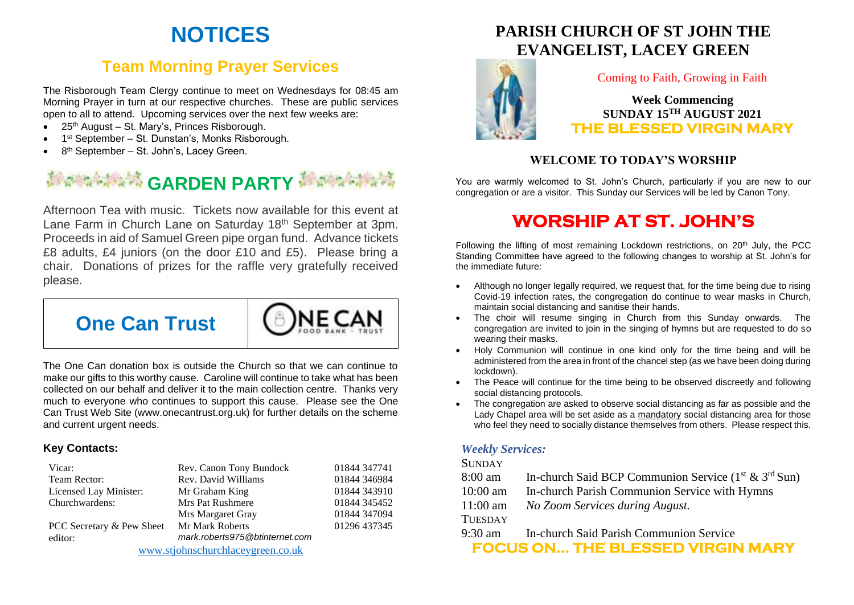# **NOTICES**

## **Team Morning Prayer Services**

The Risborough Team Clergy continue to meet on Wednesdays for 08:45 am Morning Prayer in turn at our respective churches. These are public services open to all to attend. Upcoming services over the next few weeks are:

- 25<sup>th</sup> August St. Mary's, Princes Risborough.
- 1<sup>st</sup> September St. Dunstan's, Monks Risborough.
- 8<sup>th</sup> September St. John's, Lacey Green.

# **GARDEN PARTY**

Afternoon Tea with music. Tickets now available for this event at Lane Farm in Church Lane on Saturday 18<sup>th</sup> September at 3pm. Proceeds in aid of Samuel Green pipe organ fund. Advance tickets £8 adults, £4 juniors (on the door £10 and £5). Please bring a chair. Donations of prizes for the raffle very gratefully received please.

**NF CA** 



The One Can donation box is outside the Church so that we can continue to make our gifts to this worthy cause. Caroline will continue to take what has been collected on our behalf and deliver it to the main collection centre. Thanks very much to everyone who continues to support this cause. Please see the One Can Trust Web Site (www.onecantrust.org.uk) for further details on the scheme and current urgent needs.

#### **Key Contacts:**

| Vicar:                            | Rev. Canon Tony Bundock        | 01844 347741 |
|-----------------------------------|--------------------------------|--------------|
| Team Rector:                      | Rev. David Williams            | 01844 346984 |
| Licensed Lay Minister:            | Mr Graham King                 | 01844 343910 |
| Churchwardens:                    | Mrs Pat Rushmere               | 01844 345452 |
|                                   | Mrs Margaret Gray              | 01844 347094 |
| PCC Secretary & Pew Sheet         | Mr Mark Roberts                | 01296 437345 |
| editor:                           | mark.roberts975@btinternet.com |              |
| www.stjohnschurchlaceygreen.co.uk |                                |              |

### **PARISH CHURCH OF ST JOHN THE EVANGELIST, LACEY GREEN**



#### Coming to Faith, Growing in Faith

**Week Commencing SUNDAY 15TH AUGUST 2021 THE BLESSED VIRGIN MARY** 

#### **WELCOME TO TODAY'S WORSHIP**

You are warmly welcomed to St. John's Church, particularly if you are new to our congregation or are a visitor. This Sunday our Services will be led by Canon Tony.

## **WORSHIP AT ST. JOHN'S**

Following the lifting of most remaining Lockdown restrictions, on  $20<sup>th</sup>$  July, the PCC Standing Committee have agreed to the following changes to worship at St. John's for the immediate future:

- Although no longer legally required, we request that, for the time being due to rising Covid-19 infection rates, the congregation do continue to wear masks in Church, maintain social distancing and sanitise their hands.
- The choir will resume singing in Church from this Sunday onwards. The congregation are invited to join in the singing of hymns but are requested to do so wearing their masks.
- Holy Communion will continue in one kind only for the time being and will be administered from the area in front of the chancel step (as we have been doing during lockdown).
- The Peace will continue for the time being to be observed discreetly and following social distancing protocols.
- The congregation are asked to observe social distancing as far as possible and the Lady Chapel area will be set aside as a mandatory social distancing area for those who feel they need to socially distance themselves from others. Please respect this.

#### *Weekly Services:*

#### **SUNDAY**

- 8:00 am In-church Said BCP Communion Service  $(1^{st} \& 3^{rd}$  Sun)
- 10:00 am In-church Parish Communion Service with Hymns
- 11:00 am *No Zoom Services during August.*

#### **TUESDAY**

9:30 am In-church Said Parish Communion Service

**FOCUS ON… THE BLESSED VIRGIN MARY**